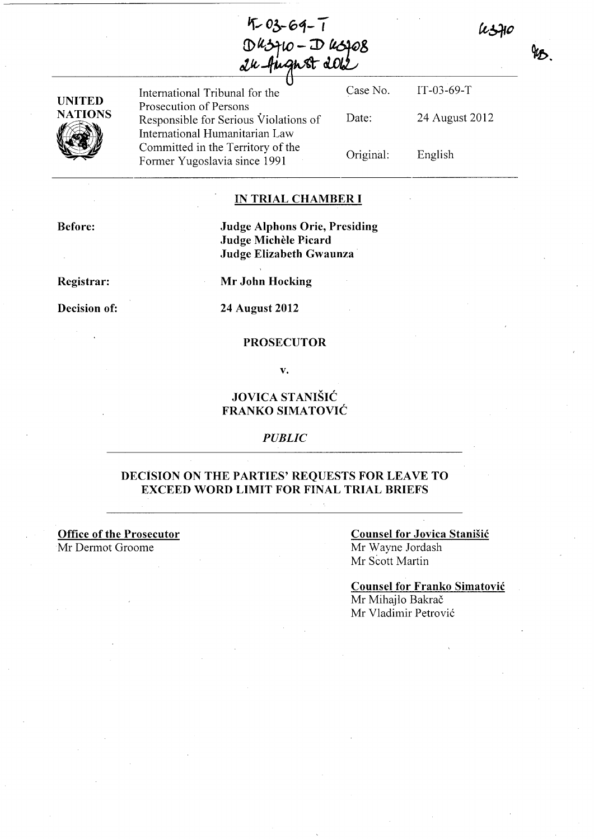$4 - 03 - 64 - 1$ Dusquo - Dusqos<br>24 August 202



International Tribunal for the Case No. Prosecution of Persons Responsible for Serious Violations of International Humanitarian Law Committed in the Territory of the Former Yugoslavia since 1991 Date: Original:

**IN TRIAL CHAMBER I** 

**Before:** 

**Judge Alphons Orie, Presiding Judge Michele Picard Judge Elizabeth Gwaunza** 

**Registrar:** 

**Decision of:** 

**Mr John Hocking** 

**24 August 2012** 

#### **PROSECUTOR**

**v.** 

# **JOVICA STANISIC FRANKO SIMATOVIC**

*PUBLIC* 

## **DECISION ON THE PARTIES' REQUESTS FOR LEAVE TO EXCEED WORD LIMIT FOR FINAL TRIAL BRIEFS**

**Office of the Prosecutor**  Mr Dermot Groome

**Counsel for Jovica StaniSic**  Mr Wayne Jordash Mr Scott Martin

IT -03-69-T

English

24 August 2012

ksflo

qь.

**Counsel for Franko Simatovic**  Mr Mihajlo Bakrač Mr Vladimir Petrović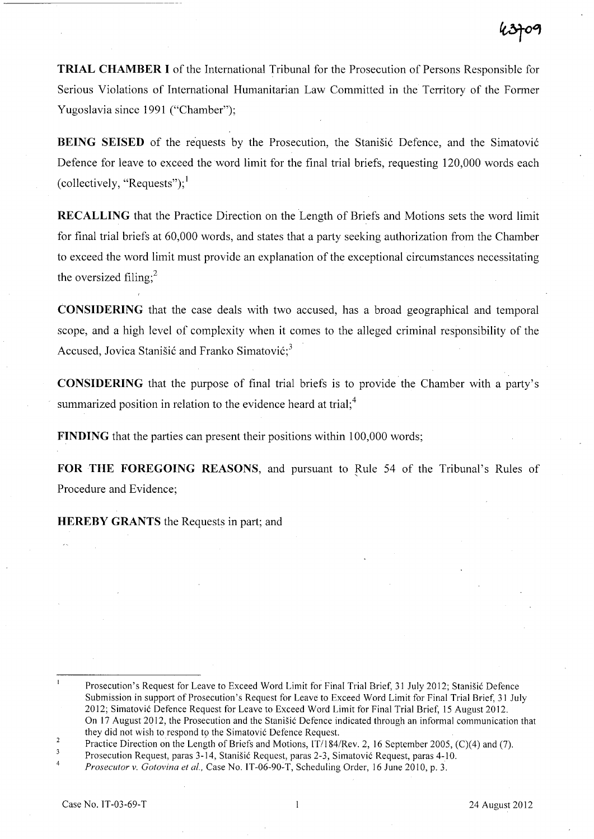**TRIAL CHAMBER I** of the International Tribunal for the Prosecution of Persons Responsible for Serious Violations of International Humanitarian Law Committed in the Territory of the Former Yugoslavia since 1991 ("Chamber");

**BEING SEISED** of the requests by the Prosecution, the Stanisic Defence, and the Simatovic Defence for leave to exceed the word limit for the final trial briefs, requesting 120,000 words each (collectively, "Requests");  $<sup>1</sup>$ </sup>

**RECALLING** that the Practice Direction on the Length of Briefs and Motions sets the word limit for final trial briefs at 60,000 words, and states that a party seeking authorization from the Chamber to exceed the word limit must provide an explanation of the exceptional circumstances necessitating the oversized filing; $<sup>2</sup>$ </sup>

**CONSIDERING** that the case deals with two accused, has a broad geographical and temporal scope, and a high level of complexity when it comes to the alleged criminal responsibility of the Accused, Jovica Stanišić and Franko Simatović: $3<sup>3</sup>$ 

**CONSIDERING** that the purpose of final trial briefs is to provide the Chamber with a party's summarized position in relation to the evidence heard at trial; $<sup>4</sup>$ </sup>

**FINDING** that the parties can present their positions within 100,000 words;

**FOR THE FOREGOING REASONS, and pursuant to Rule 54 of the Tribunal's Rules of** Procedure and Evidence;

**HEREBY GRANTS** the Requests in part; and

 $\mathbf{I}$ Prosecution's Request for Leave to Exceed Word Limit for Final Trial Brief, 31 July 2012; Stanisic Defence Submission in support of Prosecution's Request for Leave to Exceed Word Limit for Final Trial Brief, 31 July 2012; Simatovic Defence Request for Leave to Exceed Word Limit for Final Trial Brief, 15 August 2012. On 17 August 2012, the Prosecution and the Stanisic Defence indicated through an informal communication that

they did not wish to respond to the Simatović Defence Request.  $\overline{2}$ 

Practice Direction on the Length of Briefs and Motions, IT/184/Rev. 2, 16 September 2005, (C)(4) and (7).  $\overline{3}$ 

Prosecution Request, paras 3-14, Stanisic Request, paras 2-3, Simatovic Request, paras 4-10.  $\overline{4}$ 

*Prosecutor v. Gotovina et aI.,* Case No. IT-06-90-T, Scheduling Order, 16 June 2010, p. 3.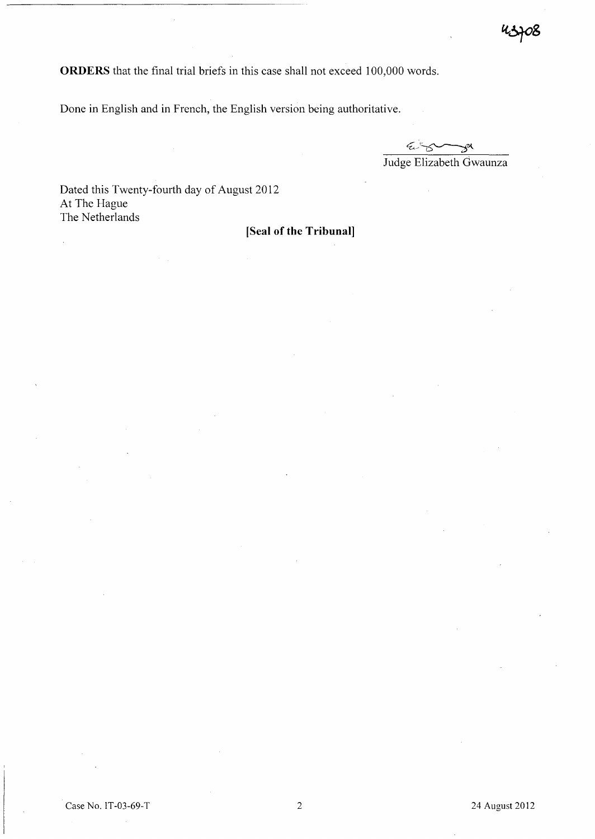**ORDERS** that the final trial briefs in this case shall not exceed 100,000 words.

Done in English and in French, the English version being authoritative.

 $25 - 2$ ઝં<sup>ઝ</sup> Judge Elizabeth Gwaunza

Dated this Twenty-fourth day of August 2012 At The Hague The Netherlands

**[Seal of the Tribunal]**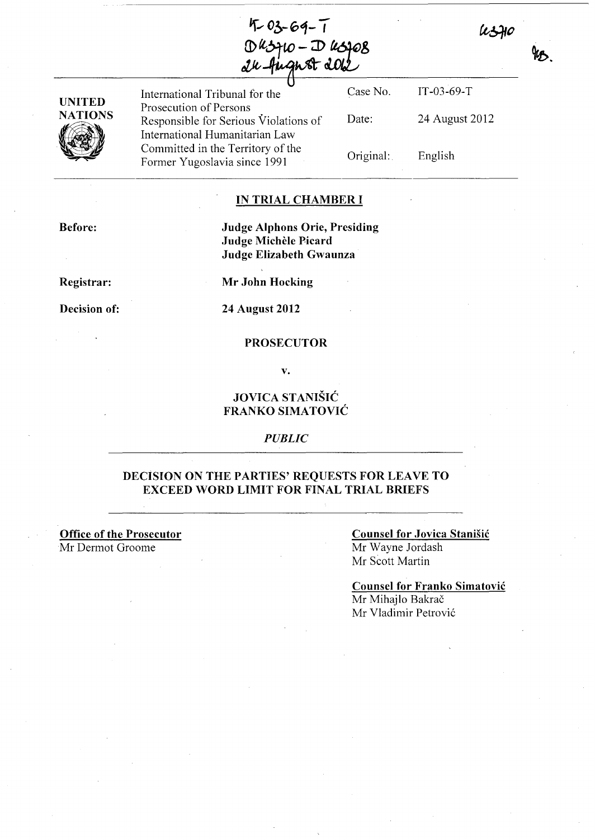$4 - 03 - 64 - 1$ Dusquo - Dusqos<br>24 August 202



International Tribunal for the Case No. Prosecution of Persons Responsible for Serious Violations of International Humanitarian Law Committed in the Territory of the Former Yugoslavia since 1991 Date:

Original: IT-03-69-T 24 August 2012 English

ksflo

### **IN TRIAL CHAMBER I**

**Before:** 

**Judge Alphons Orie, Presiding Judge MicheIe Picard Judge Elizabeth Gwaunza** 

**Registrar:** 

**Decision of:** 

**Mr John Hocking** 

**24 August 2012** 

### **PROSECUTOR**

**v.** 

# **JOVICA STANISIC FRANKO SIMATOVIC**

*PUBLIC* 

## **DECiSION ON THE PARTIES' REQUESTS FOR LEAVE TO EXCEED WORD LIMIT FOR FINAL TRIAL BRIEFS**

**Office of the Prosecutor**  Mr Dermot Groome

### **Counsel for Jovica Stanisic**  Mr Wayne lordash Mr Scott Martin

**Counsel for Franko Simatovic**  Mr Mihajlo Bakrač Mr Vladimir Petrović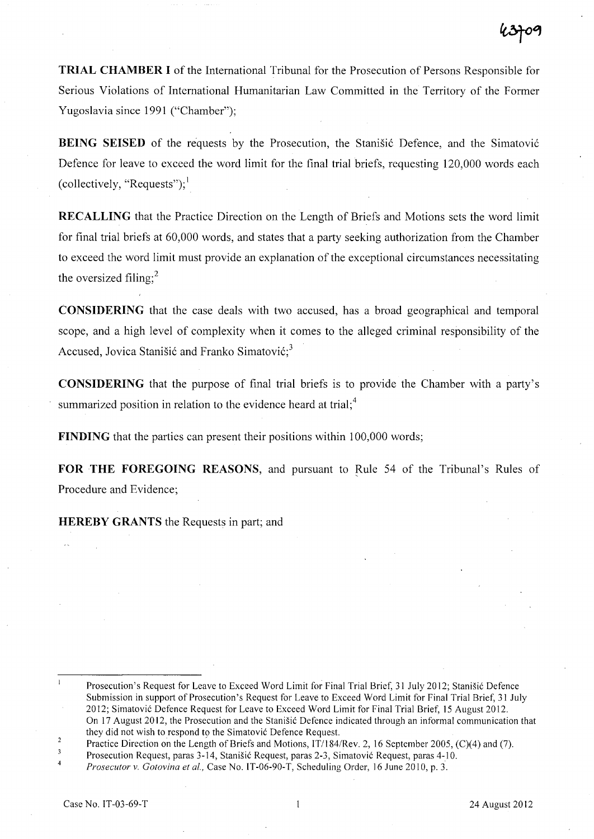**TRIAL CHAMBER I** of the International Tribunal for the Prosecution of Persons Responsible for Serious Violations of International Humanitarian Law Committed in the Territory of the Former Yugoslavia since 1991 ("Chamber");

**BEING SEISED** of the requests by the Prosecution, the Stanišić Defence, and the Simatović Defence for leave to exceed the word limit for the final trial briefs, requesting 120,000 words each (collectively, "Requests"); $<sup>1</sup>$ </sup>

**RECALLING** that the Practice Direction on the Length of Briefs and Motions sets the word limit for final trial briefs at 60,000 words, and states that a party seeking authorization from the Chamber to exceed the word limit must provide an explanation of the exceptional circumstances necessitating the oversized filing: $<sup>2</sup>$ </sup>

**CONSIDERING** that the case deals with two accused, has a broad geographical and temporal scope, and a high level of complexity when it comes to the alleged criminal responsibility of the Accused, Jovica Stanišić and Franko Simatović;<sup>3</sup>

**CONSIDERING** that the purpose of final trial briefs is to provide the Chamber with a party's summarized position in relation to the evidence heard at trial;<sup>4</sup>

**FINDING** that the parties can present their positions within 100,000 words;

**FOR THE FOREGOING REASONS, and pursuant to Rule 54 of the Tribunal's Rules of** Procedure and Evidence;

**HEREBY GRANTS** the Requests in part; and

 $\mathbf{I}$ Prosecution's Request for Leave to Exceed Word Limit for Final Trial Brief, 31 July 2012; Stanisic Defence Submission in support of Prosecution's Request for Leave to Exceed Word Limit for Final Trial Brief, 31 July

<sup>2012;</sup> Simatovic Defence Request for Leave to Exceed Word Limit for Final Trial Brief, 15 August 2012.

On 17 August 2012, the Prosecution and the Stanisic Defence indicated through an informal communication that they did not wish to respond to the Simatović Defence Request.

 $\overline{2}$ Practice Direction on the Length of Briefs and Motions, *IT/184/Rev.* 2,16 September 2005, (C)(4) and (7).

 $\overline{\mathbf{3}}$ Prosecution Request, paras 3-14, Stanisic Request, paras 2-3, Simatovic Request, paras 4-10. 4

*Prosecutor* v. *Gotovina et al.,* Case No. IT -06-90-T, Scheduling Order, 16 June 2010, p. 3.